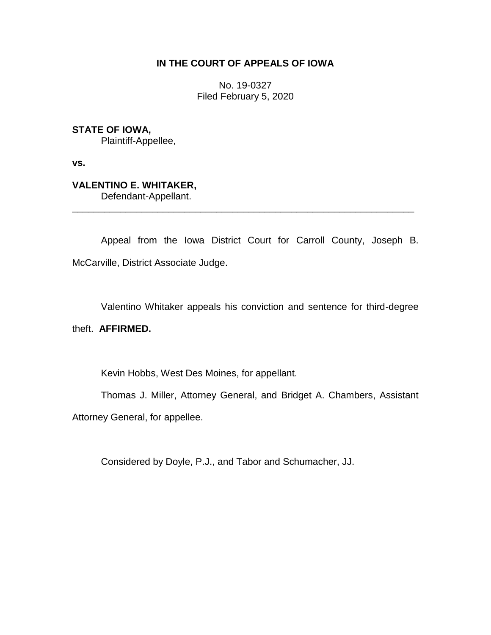# **IN THE COURT OF APPEALS OF IOWA**

No. 19-0327 Filed February 5, 2020

# **STATE OF IOWA,**

Plaintiff-Appellee,

**vs.**

# **VALENTINO E. WHITAKER,**

Defendant-Appellant.

Appeal from the Iowa District Court for Carroll County, Joseph B. McCarville, District Associate Judge.

\_\_\_\_\_\_\_\_\_\_\_\_\_\_\_\_\_\_\_\_\_\_\_\_\_\_\_\_\_\_\_\_\_\_\_\_\_\_\_\_\_\_\_\_\_\_\_\_\_\_\_\_\_\_\_\_\_\_\_\_\_\_\_\_

Valentino Whitaker appeals his conviction and sentence for third-degree

# theft. **AFFIRMED.**

Kevin Hobbs, West Des Moines, for appellant.

Thomas J. Miller, Attorney General, and Bridget A. Chambers, Assistant Attorney General, for appellee.

Considered by Doyle, P.J., and Tabor and Schumacher, JJ.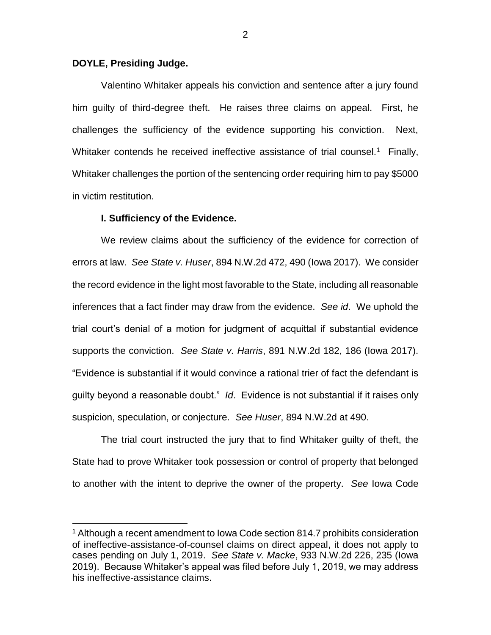## **DOYLE, Presiding Judge.**

 $\overline{a}$ 

Valentino Whitaker appeals his conviction and sentence after a jury found him guilty of third-degree theft. He raises three claims on appeal. First, he challenges the sufficiency of the evidence supporting his conviction. Next, Whitaker contends he received ineffective assistance of trial counsel.<sup>1</sup> Finally, Whitaker challenges the portion of the sentencing order requiring him to pay \$5000 in victim restitution.

## **I. Sufficiency of the Evidence.**

We review claims about the sufficiency of the evidence for correction of errors at law. *See State v. Huser*, 894 N.W.2d 472, 490 (Iowa 2017). We consider the record evidence in the light most favorable to the State, including all reasonable inferences that a fact finder may draw from the evidence. *See id*. We uphold the trial court's denial of a motion for judgment of acquittal if substantial evidence supports the conviction. *See State v. Harris*, 891 N.W.2d 182, 186 (Iowa 2017). "Evidence is substantial if it would convince a rational trier of fact the defendant is guilty beyond a reasonable doubt." *Id*. Evidence is not substantial if it raises only suspicion, speculation, or conjecture. *See Huser*, 894 N.W.2d at 490.

The trial court instructed the jury that to find Whitaker guilty of theft, the State had to prove Whitaker took possession or control of property that belonged to another with the intent to deprive the owner of the property. *See* Iowa Code

<sup>&</sup>lt;sup>1</sup> Although a recent amendment to Iowa Code section 814.7 prohibits consideration of ineffective-assistance-of-counsel claims on direct appeal, it does not apply to cases pending on July 1, 2019. *See State v. Macke*, 933 N.W.2d 226, 235 (Iowa 2019). Because Whitaker's appeal was filed before July 1, 2019, we may address his ineffective-assistance claims.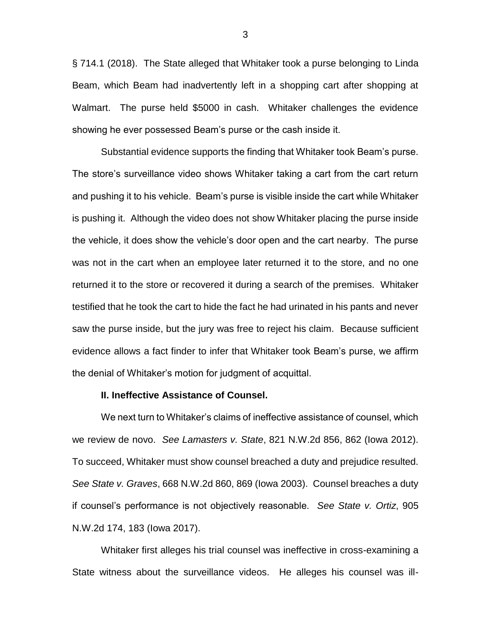§ 714.1 (2018). The State alleged that Whitaker took a purse belonging to Linda Beam, which Beam had inadvertently left in a shopping cart after shopping at Walmart. The purse held \$5000 in cash. Whitaker challenges the evidence showing he ever possessed Beam's purse or the cash inside it.

Substantial evidence supports the finding that Whitaker took Beam's purse. The store's surveillance video shows Whitaker taking a cart from the cart return and pushing it to his vehicle. Beam's purse is visible inside the cart while Whitaker is pushing it. Although the video does not show Whitaker placing the purse inside the vehicle, it does show the vehicle's door open and the cart nearby. The purse was not in the cart when an employee later returned it to the store, and no one returned it to the store or recovered it during a search of the premises. Whitaker testified that he took the cart to hide the fact he had urinated in his pants and never saw the purse inside, but the jury was free to reject his claim. Because sufficient evidence allows a fact finder to infer that Whitaker took Beam's purse, we affirm the denial of Whitaker's motion for judgment of acquittal.

## **II. Ineffective Assistance of Counsel.**

We next turn to Whitaker's claims of ineffective assistance of counsel, which we review de novo. *See Lamasters v. State*, 821 N.W.2d 856, 862 (Iowa 2012). To succeed, Whitaker must show counsel breached a duty and prejudice resulted. *See State v. Graves*, 668 N.W.2d 860, 869 (Iowa 2003). Counsel breaches a duty if counsel's performance is not objectively reasonable. *See State v. Ortiz*, 905 N.W.2d 174, 183 (Iowa 2017).

Whitaker first alleges his trial counsel was ineffective in cross-examining a State witness about the surveillance videos. He alleges his counsel was ill-

3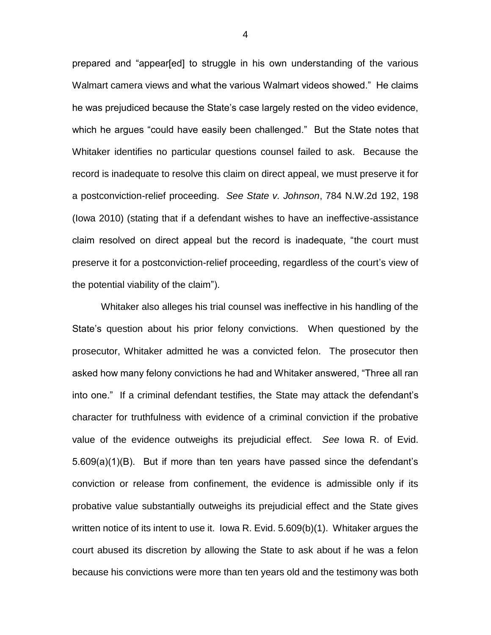prepared and "appear[ed] to struggle in his own understanding of the various Walmart camera views and what the various Walmart videos showed." He claims he was prejudiced because the State's case largely rested on the video evidence, which he argues "could have easily been challenged." But the State notes that Whitaker identifies no particular questions counsel failed to ask. Because the record is inadequate to resolve this claim on direct appeal, we must preserve it for a postconviction-relief proceeding. *See State v. Johnson*, 784 N.W.2d 192, 198 (Iowa 2010) (stating that if a defendant wishes to have an ineffective-assistance claim resolved on direct appeal but the record is inadequate, "the court must preserve it for a postconviction-relief proceeding, regardless of the court's view of the potential viability of the claim").

Whitaker also alleges his trial counsel was ineffective in his handling of the State's question about his prior felony convictions. When questioned by the prosecutor, Whitaker admitted he was a convicted felon. The prosecutor then asked how many felony convictions he had and Whitaker answered, "Three all ran into one." If a criminal defendant testifies, the State may attack the defendant's character for truthfulness with evidence of a criminal conviction if the probative value of the evidence outweighs its prejudicial effect. *See* Iowa R. of Evid. 5.609(a)(1)(B). But if more than ten years have passed since the defendant's conviction or release from confinement, the evidence is admissible only if its probative value substantially outweighs its prejudicial effect and the State gives written notice of its intent to use it. Iowa R. Evid. 5.609(b)(1). Whitaker argues the court abused its discretion by allowing the State to ask about if he was a felon because his convictions were more than ten years old and the testimony was both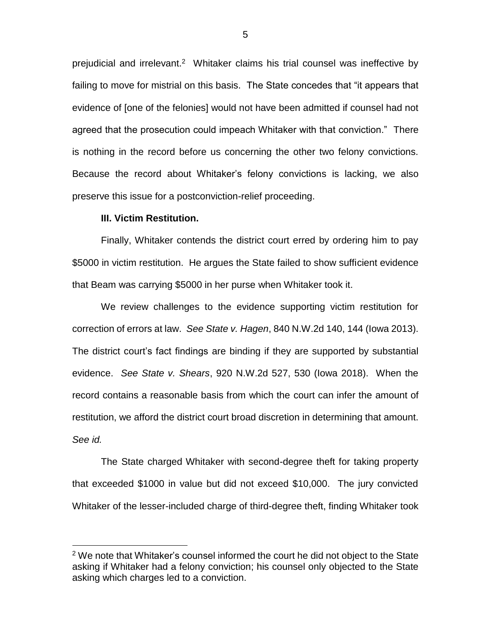prejudicial and irrelevant.<sup>2</sup> Whitaker claims his trial counsel was ineffective by failing to move for mistrial on this basis. The State concedes that "it appears that evidence of [one of the felonies] would not have been admitted if counsel had not agreed that the prosecution could impeach Whitaker with that conviction." There is nothing in the record before us concerning the other two felony convictions. Because the record about Whitaker's felony convictions is lacking, we also preserve this issue for a postconviction-relief proceeding.

#### **III. Victim Restitution.**

 $\overline{a}$ 

Finally, Whitaker contends the district court erred by ordering him to pay \$5000 in victim restitution. He argues the State failed to show sufficient evidence that Beam was carrying \$5000 in her purse when Whitaker took it.

We review challenges to the evidence supporting victim restitution for correction of errors at law. *See State v. Hagen*, 840 N.W.2d 140, 144 (Iowa 2013). The district court's fact findings are binding if they are supported by substantial evidence. *See State v. Shears*, 920 N.W.2d 527, 530 (Iowa 2018). When the record contains a reasonable basis from which the court can infer the amount of restitution, we afford the district court broad discretion in determining that amount. *See id.* 

The State charged Whitaker with second-degree theft for taking property that exceeded \$1000 in value but did not exceed \$10,000. The jury convicted Whitaker of the lesser-included charge of third-degree theft, finding Whitaker took

<sup>&</sup>lt;sup>2</sup> We note that Whitaker's counsel informed the court he did not object to the State asking if Whitaker had a felony conviction; his counsel only objected to the State asking which charges led to a conviction.